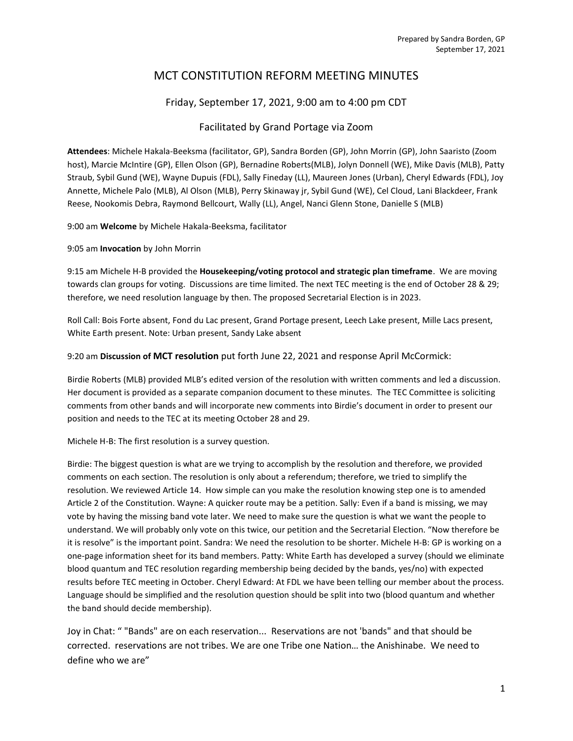# MCT CONSTITUTION REFORM MEETING MINUTES

## Friday, September 17, 2021, 9:00 am to 4:00 pm CDT

#### Facilitated by Grand Portage via Zoom

Attendees: Michele Hakala-Beeksma (facilitator, GP), Sandra Borden (GP), John Morrin (GP), John Saaristo (Zoom host), Marcie McIntire (GP), Ellen Olson (GP), Bernadine Roberts(MLB), Jolyn Donnell (WE), Mike Davis (MLB), Patty Straub, Sybil Gund (WE), Wayne Dupuis (FDL), Sally Fineday (LL), Maureen Jones (Urban), Cheryl Edwards (FDL), Joy Annette, Michele Palo (MLB), Al Olson (MLB), Perry Skinaway jr, Sybil Gund (WE), Cel Cloud, Lani Blackdeer, Frank Reese, Nookomis Debra, Raymond Bellcourt, Wally (LL), Angel, Nanci Glenn Stone, Danielle S (MLB)

9:00 am Welcome by Michele Hakala-Beeksma, facilitator

9:05 am Invocation by John Morrin

9:15 am Michele H-B provided the Housekeeping/voting protocol and strategic plan timeframe. We are moving towards clan groups for voting. Discussions are time limited. The next TEC meeting is the end of October 28 & 29; therefore, we need resolution language by then. The proposed Secretarial Election is in 2023.

Roll Call: Bois Forte absent, Fond du Lac present, Grand Portage present, Leech Lake present, Mille Lacs present, White Earth present. Note: Urban present, Sandy Lake absent

9:20 am Discussion of MCT resolution put forth June 22, 2021 and response April McCormick:

Birdie Roberts (MLB) provided MLB's edited version of the resolution with written comments and led a discussion. Her document is provided as a separate companion document to these minutes. The TEC Committee is soliciting comments from other bands and will incorporate new comments into Birdie's document in order to present our position and needs to the TEC at its meeting October 28 and 29.

Michele H-B: The first resolution is a survey question.

Birdie: The biggest question is what are we trying to accomplish by the resolution and therefore, we provided comments on each section. The resolution is only about a referendum; therefore, we tried to simplify the resolution. We reviewed Article 14. How simple can you make the resolution knowing step one is to amended Article 2 of the Constitution. Wayne: A quicker route may be a petition. Sally: Even if a band is missing, we may vote by having the missing band vote later. We need to make sure the question is what we want the people to understand. We will probably only vote on this twice, our petition and the Secretarial Election. "Now therefore be it is resolve" is the important point. Sandra: We need the resolution to be shorter. Michele H-B: GP is working on a one-page information sheet for its band members. Patty: White Earth has developed a survey (should we eliminate blood quantum and TEC resolution regarding membership being decided by the bands, yes/no) with expected results before TEC meeting in October. Cheryl Edward: At FDL we have been telling our member about the process. Language should be simplified and the resolution question should be split into two (blood quantum and whether the band should decide membership).

Joy in Chat: " "Bands" are on each reservation... Reservations are not 'bands" and that should be corrected. reservations are not tribes. We are one Tribe one Nation… the Anishinabe. We need to define who we are"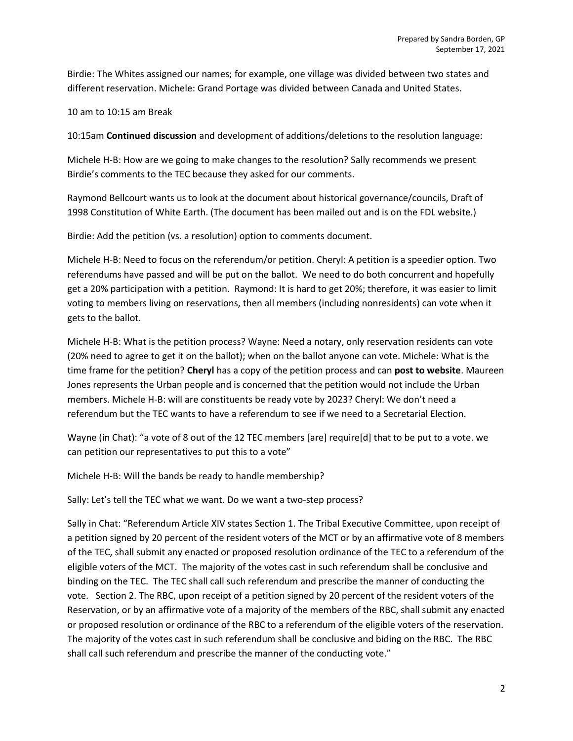Birdie: The Whites assigned our names; for example, one village was divided between two states and different reservation. Michele: Grand Portage was divided between Canada and United States.

10 am to 10:15 am Break

10:15am Continued discussion and development of additions/deletions to the resolution language:

Michele H-B: How are we going to make changes to the resolution? Sally recommends we present Birdie's comments to the TEC because they asked for our comments.

Raymond Bellcourt wants us to look at the document about historical governance/councils, Draft of 1998 Constitution of White Earth. (The document has been mailed out and is on the FDL website.)

Birdie: Add the petition (vs. a resolution) option to comments document.

Michele H-B: Need to focus on the referendum/or petition. Cheryl: A petition is a speedier option. Two referendums have passed and will be put on the ballot. We need to do both concurrent and hopefully get a 20% participation with a petition. Raymond: It is hard to get 20%; therefore, it was easier to limit voting to members living on reservations, then all members (including nonresidents) can vote when it gets to the ballot.

Michele H-B: What is the petition process? Wayne: Need a notary, only reservation residents can vote (20% need to agree to get it on the ballot); when on the ballot anyone can vote. Michele: What is the time frame for the petition? Cheryl has a copy of the petition process and can post to website. Maureen Jones represents the Urban people and is concerned that the petition would not include the Urban members. Michele H-B: will are constituents be ready vote by 2023? Cheryl: We don't need a referendum but the TEC wants to have a referendum to see if we need to a Secretarial Election.

Wayne (in Chat): "a vote of 8 out of the 12 TEC members [are] require[d] that to be put to a vote. we can petition our representatives to put this to a vote"

Michele H-B: Will the bands be ready to handle membership?

Sally: Let's tell the TEC what we want. Do we want a two-step process?

Sally in Chat: "Referendum Article XIV states Section 1. The Tribal Executive Committee, upon receipt of a petition signed by 20 percent of the resident voters of the MCT or by an affirmative vote of 8 members of the TEC, shall submit any enacted or proposed resolution ordinance of the TEC to a referendum of the eligible voters of the MCT. The majority of the votes cast in such referendum shall be conclusive and binding on the TEC. The TEC shall call such referendum and prescribe the manner of conducting the vote. Section 2. The RBC, upon receipt of a petition signed by 20 percent of the resident voters of the Reservation, or by an affirmative vote of a majority of the members of the RBC, shall submit any enacted or proposed resolution or ordinance of the RBC to a referendum of the eligible voters of the reservation. The majority of the votes cast in such referendum shall be conclusive and biding on the RBC. The RBC shall call such referendum and prescribe the manner of the conducting vote."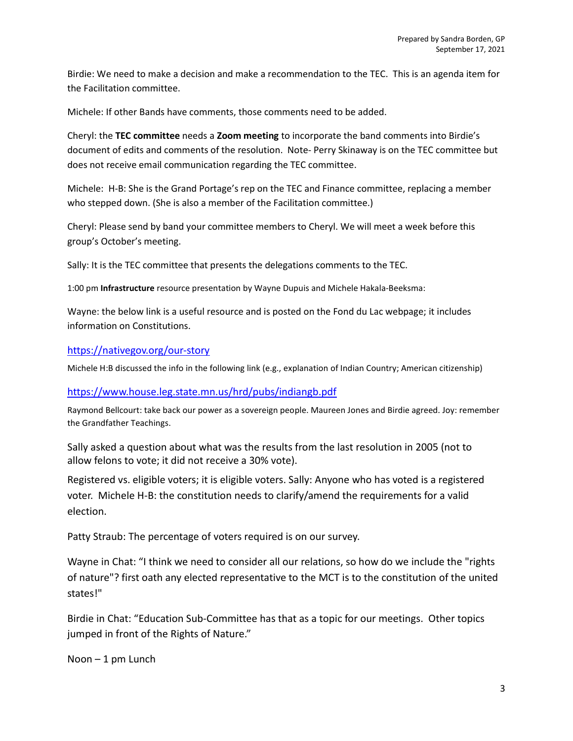Birdie: We need to make a decision and make a recommendation to the TEC. This is an agenda item for the Facilitation committee.

Michele: If other Bands have comments, those comments need to be added.

Cheryl: the TEC committee needs a Zoom meeting to incorporate the band comments into Birdie's document of edits and comments of the resolution. Note- Perry Skinaway is on the TEC committee but does not receive email communication regarding the TEC committee.

Michele: H-B: She is the Grand Portage's rep on the TEC and Finance committee, replacing a member who stepped down. (She is also a member of the Facilitation committee.)

Cheryl: Please send by band your committee members to Cheryl. We will meet a week before this group's October's meeting.

Sally: It is the TEC committee that presents the delegations comments to the TEC.

1:00 pm Infrastructure resource presentation by Wayne Dupuis and Michele Hakala-Beeksma:

Wayne: the below link is a useful resource and is posted on the Fond du Lac webpage; it includes information on Constitutions.

### https://nativegov.org/our-story

Michele H:B discussed the info in the following link (e.g., explanation of Indian Country; American citizenship)

#### https://www.house.leg.state.mn.us/hrd/pubs/indiangb.pdf

Raymond Bellcourt: take back our power as a sovereign people. Maureen Jones and Birdie agreed. Joy: remember the Grandfather Teachings.

Sally asked a question about what was the results from the last resolution in 2005 (not to allow felons to vote; it did not receive a 30% vote).

Registered vs. eligible voters; it is eligible voters. Sally: Anyone who has voted is a registered voter. Michele H-B: the constitution needs to clarify/amend the requirements for a valid election.

Patty Straub: The percentage of voters required is on our survey.

Wayne in Chat: "I think we need to consider all our relations, so how do we include the "rights of nature"? first oath any elected representative to the MCT is to the constitution of the united states!"

Birdie in Chat: "Education Sub-Committee has that as a topic for our meetings. Other topics jumped in front of the Rights of Nature."

 $N$ oon – 1 pm Lunch